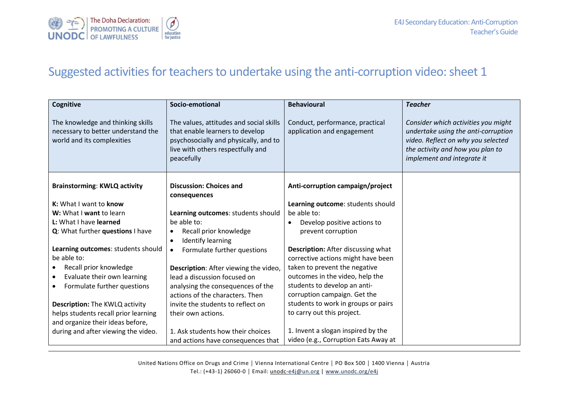

## Suggested activities for teachers to undertake using the anti-corruption video: sheet 1

| Cognitive                                                                                             | Socio-emotional                                                                                                                                                        | <b>Behavioural</b>                                            | <b>Teacher</b>                                                                                                                                                                     |
|-------------------------------------------------------------------------------------------------------|------------------------------------------------------------------------------------------------------------------------------------------------------------------------|---------------------------------------------------------------|------------------------------------------------------------------------------------------------------------------------------------------------------------------------------------|
| The knowledge and thinking skills<br>necessary to better understand the<br>world and its complexities | The values, attitudes and social skills<br>that enable learners to develop<br>psychosocially and physically, and to<br>live with others respectfully and<br>peacefully | Conduct, performance, practical<br>application and engagement | Consider which activities you might<br>undertake using the anti-corruption<br>video. Reflect on why you selected<br>the activity and how you plan to<br>implement and integrate it |
| <b>Brainstorming: KWLQ activity</b>                                                                   | <b>Discussion: Choices and</b><br>consequences                                                                                                                         | Anti-corruption campaign/project                              |                                                                                                                                                                                    |
| K: What I want to know                                                                                |                                                                                                                                                                        | Learning outcome: students should                             |                                                                                                                                                                                    |
| W: What I want to learn                                                                               | Learning outcomes: students should                                                                                                                                     | be able to:                                                   |                                                                                                                                                                                    |
| L: What I have learned                                                                                | be able to:                                                                                                                                                            | Develop positive actions to                                   |                                                                                                                                                                                    |
| Q: What further questions I have                                                                      | Recall prior knowledge<br>$\bullet$                                                                                                                                    | prevent corruption                                            |                                                                                                                                                                                    |
|                                                                                                       | <b>Identify learning</b><br>$\bullet$                                                                                                                                  |                                                               |                                                                                                                                                                                    |
| Learning outcomes: students should                                                                    | Formulate further questions<br>$\bullet$                                                                                                                               | <b>Description:</b> After discussing what                     |                                                                                                                                                                                    |
| be able to:                                                                                           |                                                                                                                                                                        | corrective actions might have been                            |                                                                                                                                                                                    |
| Recall prior knowledge                                                                                | Description: After viewing the video,                                                                                                                                  | taken to prevent the negative                                 |                                                                                                                                                                                    |
| Evaluate their own learning                                                                           | lead a discussion focused on                                                                                                                                           | outcomes in the video, help the                               |                                                                                                                                                                                    |
| Formulate further questions                                                                           | analysing the consequences of the                                                                                                                                      | students to develop an anti-                                  |                                                                                                                                                                                    |
|                                                                                                       | actions of the characters. Then                                                                                                                                        | corruption campaign. Get the                                  |                                                                                                                                                                                    |
| <b>Description:</b> The KWLQ activity                                                                 | invite the students to reflect on                                                                                                                                      | students to work in groups or pairs                           |                                                                                                                                                                                    |
| helps students recall prior learning                                                                  | their own actions.                                                                                                                                                     | to carry out this project.                                    |                                                                                                                                                                                    |
| and organize their ideas before,                                                                      |                                                                                                                                                                        |                                                               |                                                                                                                                                                                    |
| during and after viewing the video.                                                                   | 1. Ask students how their choices                                                                                                                                      | 1. Invent a slogan inspired by the                            |                                                                                                                                                                                    |
|                                                                                                       | and actions have consequences that                                                                                                                                     | video (e.g., Corruption Eats Away at                          |                                                                                                                                                                                    |

United Nations Office on Drugs and Crime │ Vienna International Centre │ PO Box 500 │ 1400 Vienna │ Austria Tel.: (+43-1) 26060-0 **│** Email: unodc[-e4j@un.org](mailto:e4j@un.org) | [www.unodc.org/e4j](http://www.unodc.org/e4j)